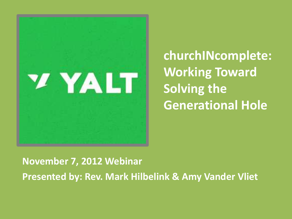

**churchINcomplete: Working Toward Solving the Generational Hole**

**November 7, 2012 Webinar Presented by: Rev. Mark Hilbelink & Amy Vander Vliet**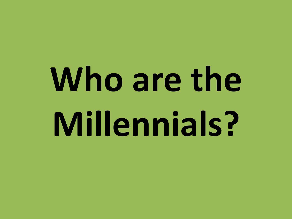# Who are the **Millennials?**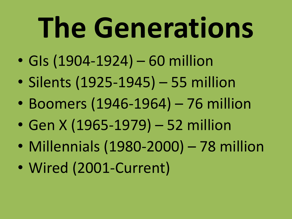# **The Generations**

- GIs (1904-1924) 60 million
- Silents (1925-1945) 55 million
- Boomers (1946-1964) 76 million
- Gen X (1965-1979) 52 million
- Millennials (1980-2000) 78 million
- Wired (2001-Current)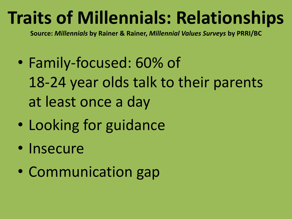#### **Traits of Millennials: Relationships**

**Source:** *Millennials* **by Rainer & Rainer,** *Millennial Values Surveys* **by PRRI/BC**

- Family-focused: 60% of 18-24 year olds talk to their parents at least once a day
- Looking for guidance
- Insecure
- Communication gap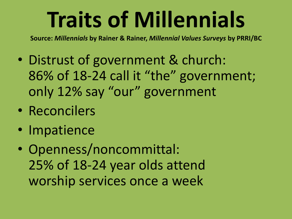### **Traits of Millennials**

**Source:** *Millennials* **by Rainer & Rainer,** *Millennial Values Surveys* **by PRRI/BC**

- Distrust of government & church: 86% of 18-24 call it "the" government; only 12% say "our" government
- Reconcilers
- Impatience
- Openness/noncommittal: 25% of 18-24 year olds attend worship services once a week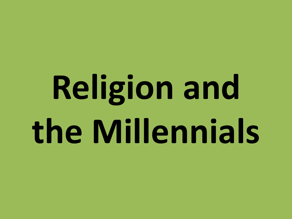# **Religion and the Millennials**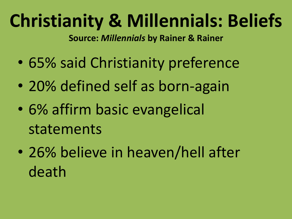#### **Christianity & Millennials: Beliefs**

**Source:** *Millennials* **by Rainer & Rainer**

- 65% said Christianity preference
- 20% defined self as born-again
- 6% affirm basic evangelical statements
- 26% believe in heaven/hell after death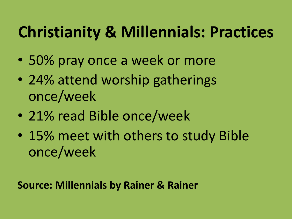#### **Christianity & Millennials: Practices**

- 50% pray once a week or more
- 24% attend worship gatherings once/week
- 21% read Bible once/week
- 15% meet with others to study Bible once/week

**Source: Millennials by Rainer & Rainer**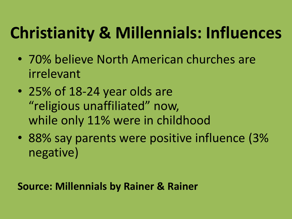#### **Christianity & Millennials: Influences**

- 70% believe North American churches are irrelevant
- 25% of 18-24 year olds are "religious unaffiliated" now, while only 11% were in childhood
- 88% say parents were positive influence (3% negative)

**Source: Millennials by Rainer & Rainer**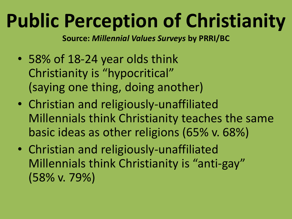#### **Public Perception of Christianity**

**Source:** *Millennial Values Surveys* **by PRRI/BC**

- 58% of 18-24 year olds think Christianity is "hypocritical" (saying one thing, doing another)
- Christian and religiously-unaffiliated Millennials think Christianity teaches the same basic ideas as other religions (65% v. 68%)
- Christian and religiously-unaffiliated Millennials think Christianity is "anti-gay" (58% v. 79%)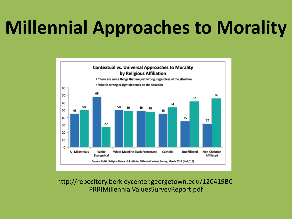#### **Millennial Approaches to Morality**



http://repository.berkleycenter.georgetown.edu/120419BC-PRRIMillennialValuesSurveyReport.pdf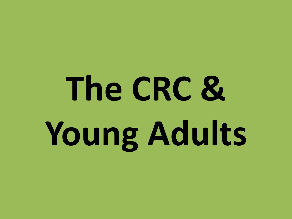# **The CRC & Young Adults**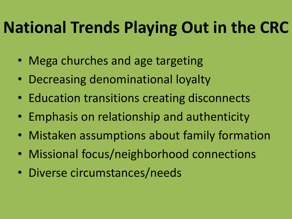#### **National Trends Playing Out in the CRC**

- Mega churches and age targeting
- Decreasing denominational loyalty
- Education transitions creating disconnects
- Emphasis on relationship and authenticity
- Mistaken assumptions about family formation
- Missional focus/neighborhood connections
- Diverse circumstances/needs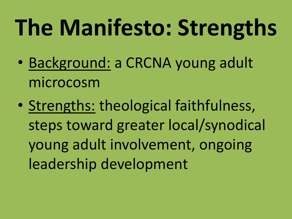## **The Manifesto: Strengths**

- Background: a CRCNA young adult microcosm
- Strengths: theological faithfulness, steps toward greater local/synodical young adult involvement, ongoing leadership development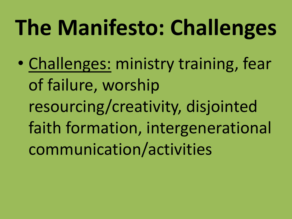### **The Manifesto: Challenges**

• Challenges: ministry training, fear of failure, worship resourcing/creativity, disjointed faith formation, intergenerational communication/activities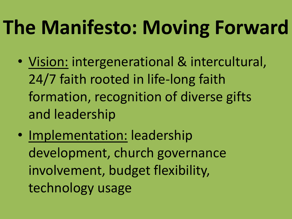#### **The Manifesto: Moving Forward**

- Vision: intergenerational & intercultural, 24/7 faith rooted in life-long faith formation, recognition of diverse gifts and leadership
- Implementation: leadership development, church governance involvement, budget flexibility, technology usage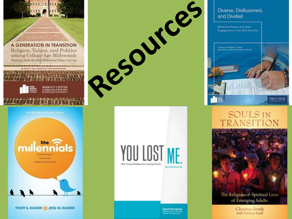

**THOM S. RAINER CJ JESS W. RAINER** 





**David Kinnaman Institutions matter of continue**<br>Massacres of the Normal Series

#### Diverse, Disillusioned, and Divided

Millenelal Values and Voter Engagement in the 2012 Election



#### **SOULS IN** TRANSITION



of Emerging Adults

Christian Smith with Patricia Snell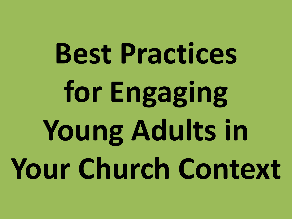# **Best Practices for Engaging Young Adults in Your Church Context**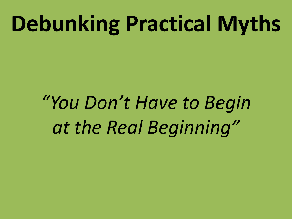*"You Don't Have to Begin at the Real Beginning"*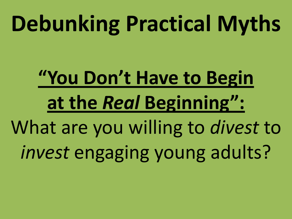### **"You Don't Have to Begin at the** *Real* **Beginning":** What are you willing to *divest* to *invest* engaging young adults?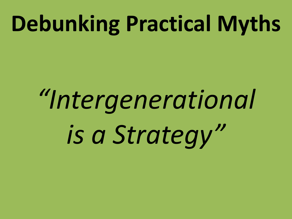# *"Intergenerational is a Strategy"*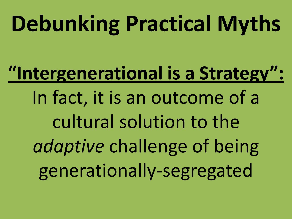**"Intergenerational is a Strategy":** In fact, it is an outcome of a cultural solution to the *adaptive* challenge of being generationally-segregated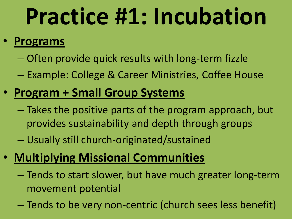## **Practice #1: Incubation**

#### • **Programs**

- Often provide quick results with long-term fizzle
- Example: College & Career Ministries, Coffee House

#### • **Program + Small Group Systems**

- Takes the positive parts of the program approach, but provides sustainability and depth through groups
- Usually still church-originated/sustained

#### • **Multiplying Missional Communities**

- Tends to start slower, but have much greater long-term movement potential
- Tends to be very non-centric (church sees less benefit)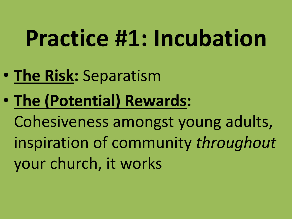## **Practice #1: Incubation**

- **The Risk:** Separatism
- **The (Potential) Rewards:**

Cohesiveness amongst young adults, inspiration of community *throughout* your church, it works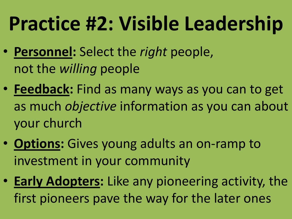### **Practice #2: Visible Leadership**

- **Personnel:** Select the *right* people, not the *willing* people
- **Feedback:** Find as many ways as you can to get as much *objective* information as you can about your church
- **Options:** Gives young adults an on-ramp to investment in your community
- **Early Adopters:** Like any pioneering activity, the first pioneers pave the way for the later ones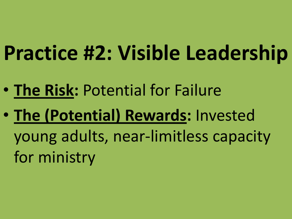### **Practice #2: Visible Leadership**

- **The Risk:** Potential for Failure
- **The (Potential) Rewards:** Invested young adults, near-limitless capacity for ministry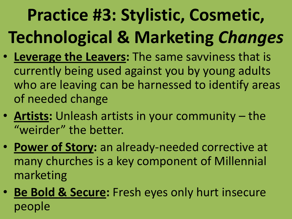#### **Practice #3: Stylistic, Cosmetic, Technological & Marketing** *Changes*

- **Leverage the Leavers:** The same savviness that is currently being used against you by young adults who are leaving can be harnessed to identify areas of needed change
- **Artists:** Unleash artists in your community the "weirder" the better.
- **Power of Story:** an already-needed corrective at many churches is a key component of Millennial marketing
- **Be Bold & Secure:** Fresh eyes only hurt insecure people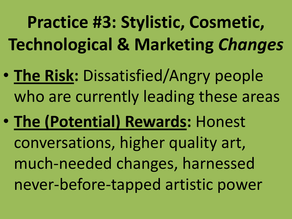**Practice #3: Stylistic, Cosmetic, Technological & Marketing** *Changes*

- **The Risk:** Dissatisfied/Angry people who are currently leading these areas
- **The (Potential) Rewards:** Honest conversations, higher quality art, much-needed changes, harnessed never-before-tapped artistic power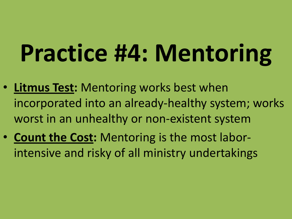# **Practice #4: Mentoring**

- **Litmus Test:** Mentoring works best when incorporated into an already-healthy system; works worst in an unhealthy or non-existent system
- **Count the Cost:** Mentoring is the most laborintensive and risky of all ministry undertakings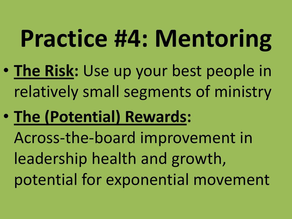# **Practice #4: Mentoring**

- **The Risk:** Use up your best people in relatively small segments of ministry
- **The (Potential) Rewards:**

Across-the-board improvement in leadership health and growth, potential for exponential movement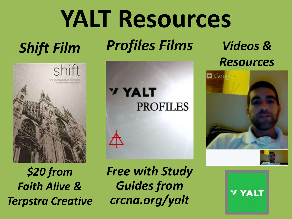# **YALT Resources**

#### *Shift Film*

*Profiles Films*



*\$20 from Faith Alive & Terpstra Creative*



*Free with Study Guides from crcna.org/yalt*

*Videos & Resources*



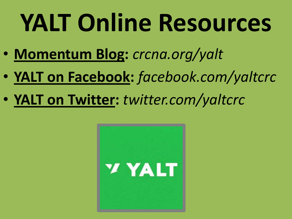# **YALT Online Resources**

- **Momentum Blog:** *crcna.org/yalt*
- **YALT on Facebook:** *facebook.com/yaltcrc*
- **YALT on Twitter:** *twitter.com/yaltcrc*